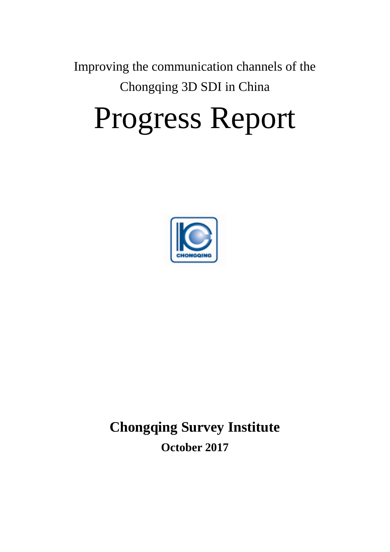Improving the communication channels of the Chongqing 3D SDI in China

# Progress Report



## **Chongqing Survey Institute October 2017**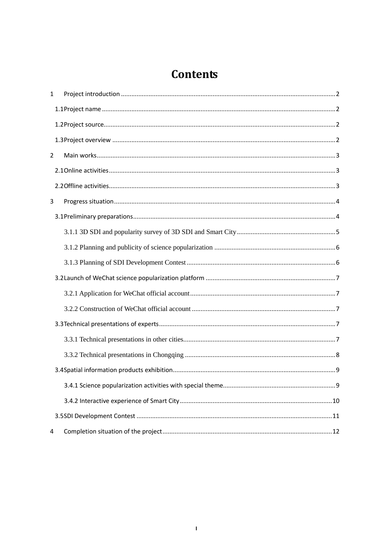## **Contents**

| $\mathbf{1}$ |  |
|--------------|--|
|              |  |
|              |  |
|              |  |
| 2            |  |
|              |  |
|              |  |
| 3            |  |
|              |  |
|              |  |
|              |  |
|              |  |
|              |  |
|              |  |
|              |  |
|              |  |
|              |  |
|              |  |
|              |  |
|              |  |
|              |  |
|              |  |
| 4            |  |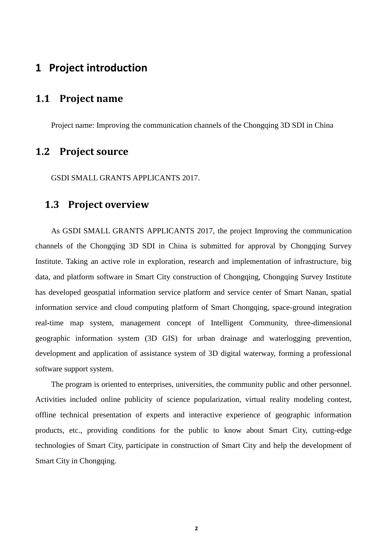## <span id="page-2-0"></span>**1 Project introduction**

## <span id="page-2-1"></span>**1.1 Project name**

<span id="page-2-2"></span>Project name: Improving the communication channels of the Chongqing 3D SDI in China

## **1.2 Project source**

<span id="page-2-3"></span>GSDI SMALL GRANTS APPLICANTS 2017.

## **1.3 Project overview**

As GSDI SMALL GRANTS APPLICANTS 2017, the project Improving the communication channels of the Chongqing 3D SDI in China is submitted for approval by Chongqing Survey Institute. Taking an active role in exploration, research and implementation of infrastructure, big data, and platform software in Smart City construction of Chongqing, Chongqing Survey Institute has developed geospatial information service platform and service center of Smart Nanan, spatial information service and cloud computing platform of Smart Chongqing, space-ground integration real-time map system, management concept of Intelligent Community, three-dimensional geographic information system (3D GIS) for urban drainage and waterlogging prevention, development and application of assistance system of 3D digital waterway, forming a professional software support system.

The program is oriented to enterprises, universities, the community public and other personnel. Activities included online publicity of science popularization, virtual reality modeling contest, offline technical presentation of experts and interactive experience of geographic information products, etc., providing conditions for the public to know about Smart City, cutting-edge technologies of Smart City, participate in construction of Smart City and help the development of Smart City in Chongqing.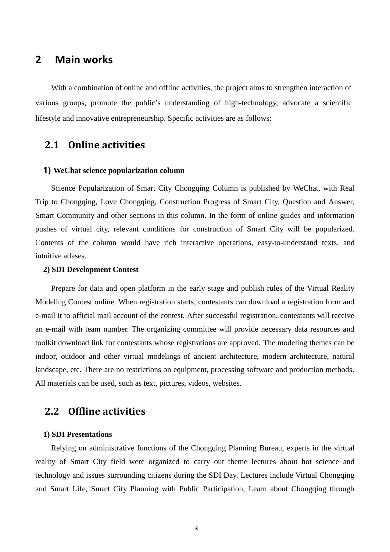## <span id="page-3-0"></span>**2 Main works**

With a combination of online and offline activities, the project aims to strengthen interaction of various groups, promote the public's understanding of high-technology, advocate a scientific lifestyle and innovative entrepreneurship. Specific activities are as follows:

## <span id="page-3-1"></span>**2.1 Online activities**

#### **1) WeChat science popularization column**

Science Popularization of Smart City Chongqing Column is published by WeChat, with Real Trip to Chongqing, Love Chongqing, Construction Progress of Smart City, Question and Answer, Smart Community and other sections in this column. In the form of online guides and information pushes of virtual city, relevant conditions for construction of Smart City will be popularized. Contents of the column would have rich interactive operations, easy-to-understand texts, and intuitive atlases.

#### **2) SDI Development Contest**

Prepare for data and open platform in the early stage and publish rules of the Virtual Reality Modeling Contest online. When registration starts, contestants can download a registration form and e-mail it to official mail account of the contest. After successful registration, contestants will receive an e-mail with team number. The organizing committee will provide necessary data resources and toolkit download link for contestants whose registrations are approved. The modeling themes can be indoor, outdoor and other virtual modelings of ancient architecture, modern architecture, natural landscape, etc. There are no restrictions on equipment, processing software and production methods. All materials can be used, such as text, pictures, videos, websites.

#### <span id="page-3-2"></span>**2.2 Offline activities**

#### **1) SDI Presentations**

Relying on administrative functions of the Chongqing Planning Bureau, experts in the virtual reality of Smart City field were organized to carry out theme lectures about hot science and technology and issues surrounding citizens during the SDI Day. Lectures include Virtual Chongqing and Smart Life, Smart City Planning with Public Participation, Learn about Chongqing through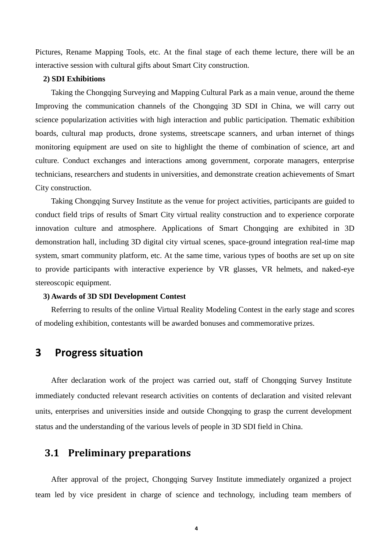Pictures, Rename Mapping Tools, etc. At the final stage of each theme lecture, there will be an interactive session with cultural gifts about Smart City construction.

#### **2) SDI Exhibitions**

Taking the Chongqing Surveying and Mapping Cultural Park as a main venue, around the theme Improving the communication channels of the Chongqing 3D SDI in China, we will carry out science popularization activities with high interaction and public participation. Thematic exhibition boards, cultural map products, drone systems, streetscape scanners, and urban internet of things monitoring equipment are used on site to highlight the theme of combination of science, art and culture. Conduct exchanges and interactions among government, corporate managers, enterprise technicians, researchers and students in universities, and demonstrate creation achievements of Smart City construction.

Taking Chongqing Survey Institute as the venue for project activities, participants are guided to conduct field trips of results of Smart City virtual reality construction and to experience corporate innovation culture and atmosphere. Applications of Smart Chongqing are exhibited in 3D demonstration hall, including 3D digital city virtual scenes, space-ground integration real-time map system, smart community platform, etc. At the same time, various types of booths are set up on site to provide participants with interactive experience by VR glasses, VR helmets, and naked-eye stereoscopic equipment.

#### **3) Awards of 3D SDI Development Contest**

Referring to results of the online Virtual Reality Modeling Contest in the early stage and scores of modeling exhibition, contestants will be awarded bonuses and commemorative prizes.

## <span id="page-4-0"></span>**3 Progress situation**

After declaration work of the project was carried out, staff of Chongqing Survey Institute immediately conducted relevant research activities on contents of declaration and visited relevant units, enterprises and universities inside and outside Chongqing to grasp the current development status and the understanding of the various levels of people in 3D SDI field in China.

## <span id="page-4-1"></span>**3.1 Preliminary preparations**

After approval of the project, Chongqing Survey Institute immediately organized a project team led by vice president in charge of science and technology, including team members of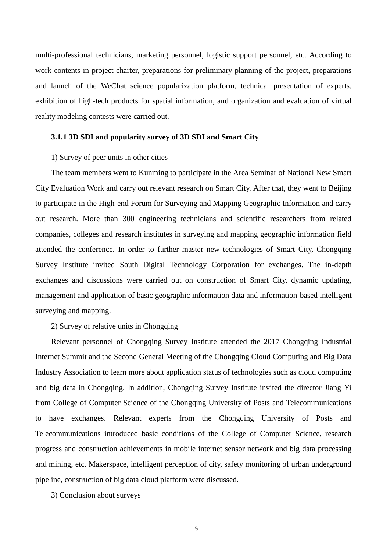multi-professional technicians, marketing personnel, logistic support personnel, etc. According to work contents in project charter, preparations for preliminary planning of the project, preparations and launch of the WeChat science popularization platform, technical presentation of experts, exhibition of high-tech products for spatial information, and organization and evaluation of virtual reality modeling contests were carried out.

#### <span id="page-5-0"></span>**3.1.1 3D SDI and popularity survey of 3D SDI and Smart City**

#### 1) Survey of peer units in other cities

The team members went to Kunming to participate in the Area Seminar of National New Smart City Evaluation Work and carry out relevant research on Smart City. After that, they went to Beijing to participate in the High-end Forum for Surveying and Mapping Geographic Information and carry out research. More than 300 engineering technicians and scientific researchers from related companies, colleges and research institutes in surveying and mapping geographic information field attended the conference. In order to further master new technologies of Smart City, Chongqing Survey Institute invited South Digital Technology Corporation for exchanges. The in-depth exchanges and discussions were carried out on construction of Smart City, dynamic updating, management and application of basic geographic information data and information-based intelligent surveying and mapping.

#### 2) Survey of relative units in Chongqing

Relevant personnel of Chongqing Survey Institute attended the 2017 Chongqing Industrial Internet Summit and the Second General Meeting of the Chongqing Cloud Computing and Big Data Industry Association to learn more about application status of technologies such as cloud computing and big data in Chongqing. In addition, Chongqing Survey Institute invited the director Jiang Yi from College of Computer Science of the Chongqing University of Posts and Telecommunications to have exchanges. Relevant experts from the Chongqing University of Posts and Telecommunications introduced basic conditions of the College of Computer Science, research progress and construction achievements in mobile internet sensor network and big data processing and mining, etc. Makerspace, intelligent perception of city, safety monitoring of urban underground pipeline, construction of big data cloud platform were discussed.

3) Conclusion about surveys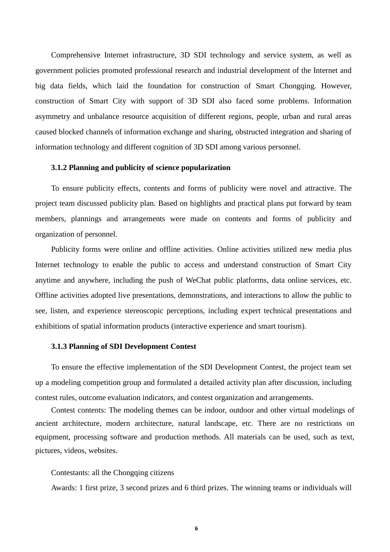Comprehensive Internet infrastructure, 3D SDI technology and service system, as well as government policies promoted professional research and industrial development of the Internet and big data fields, which laid the foundation for construction of Smart Chongqing. However, construction of Smart City with support of 3D SDI also faced some problems. Information asymmetry and unbalance resource acquisition of different regions, people, urban and rural areas caused blocked channels of information exchange and sharing, obstructed integration and sharing of information technology and different cognition of 3D SDI among various personnel.

#### <span id="page-6-0"></span>**3.1.2 Planning and publicity of science popularization**

To ensure publicity effects, contents and forms of publicity were novel and attractive. The project team discussed publicity plan. Based on highlights and practical plans put forward by team members, plannings and arrangements were made on contents and forms of publicity and organization of personnel.

Publicity forms were online and offline activities. Online activities utilized new media plus Internet technology to enable the public to access and understand construction of Smart City anytime and anywhere, including the push of WeChat public platforms, data online services, etc. Offline activities adopted live presentations, demonstrations, and interactions to allow the public to see, listen, and experience stereoscopic perceptions, including expert technical presentations and exhibitions of spatial information products (interactive experience and smart tourism).

#### <span id="page-6-1"></span>**3.1.3 Planning of SDI Development Contest**

To ensure the effective implementation of the SDI Development Contest, the project team set up a modeling competition group and formulated a detailed activity plan after discussion, including contest rules, outcome evaluation indicators, and contest organization and arrangements.

Contest contents: The modeling themes can be indoor, outdoor and other virtual modelings of ancient architecture, modern architecture, natural landscape, etc. There are no restrictions on equipment, processing software and production methods. All materials can be used, such as text, pictures, videos, websites.

#### Contestants: all the Chongqing citizens

Awards: 1 first prize, 3 second prizes and 6 third prizes. The winning teams or individuals will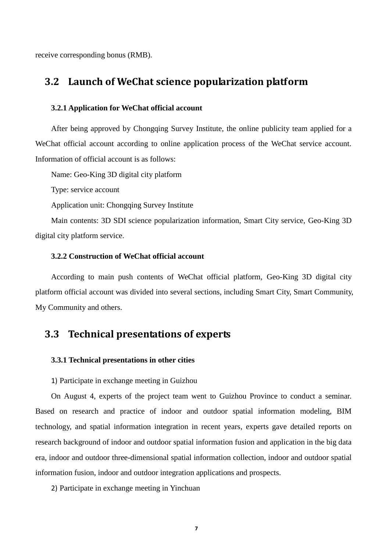receive corresponding bonus (RMB).

## <span id="page-7-0"></span>**3.2 Launch of WeChat science popularization platform**

#### <span id="page-7-1"></span>**3.2.1 Application for WeChat official account**

After being approved by Chongqing Survey Institute, the online publicity team applied for a WeChat official account according to online application process of the WeChat service account. Information of official account is as follows:

Name: Geo-King 3D digital city platform

Type: service account

Application unit: Chongqing Survey Institute

Main contents: 3D SDI science popularization information, Smart City service, Geo-King 3D digital city platform service.

#### <span id="page-7-2"></span>**3.2.2 Construction of WeChat official account**

According to main push contents of WeChat official platform, Geo-King 3D digital city platform official account was divided into several sections, including Smart City, Smart Community, My Community and others.

## <span id="page-7-3"></span>**3.3 Technical presentations of experts**

#### <span id="page-7-4"></span>**3.3.1 Technical presentations in other cities**

1) Participate in exchange meeting in Guizhou

On August 4, experts of the project team went to Guizhou Province to conduct a seminar. Based on research and practice of indoor and outdoor spatial information modeling, BIM technology, and spatial information integration in recent years, experts gave detailed reports on research background of indoor and outdoor spatial information fusion and application in the big data era, indoor and outdoor three-dimensional spatial information collection, indoor and outdoor spatial information fusion, indoor and outdoor integration applications and prospects.

2) Participate in exchange meeting in Yinchuan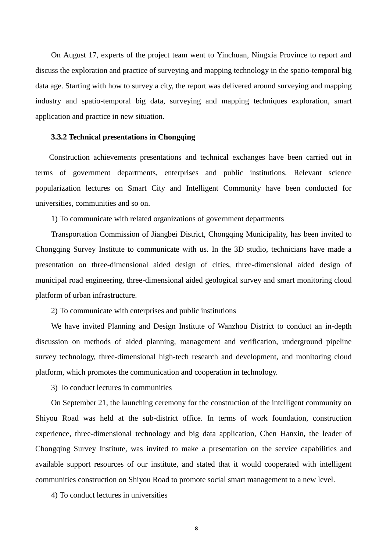On August 17, experts of the project team went to Yinchuan, Ningxia Province to report and discuss the exploration and practice of surveying and mapping technology in the spatio-temporal big data age. Starting with how to survey a city, the report was delivered around surveying and mapping industry and spatio-temporal big data, surveying and mapping techniques exploration, smart application and practice in new situation.

#### <span id="page-8-0"></span>**3.3.2 Technical presentations in Chongqing**

Construction achievements presentations and technical exchanges have been carried out in terms of government departments, enterprises and public institutions. Relevant science popularization lectures on Smart City and Intelligent Community have been conducted for universities, communities and so on.

1) To communicate with related organizations of government departments

Transportation Commission of Jiangbei District, Chongqing Municipality, has been invited to Chongqing Survey Institute to communicate with us. In the 3D studio, technicians have made a presentation on three-dimensional aided design of cities, three-dimensional aided design of municipal road engineering, three-dimensional aided geological survey and smart monitoring cloud platform of urban infrastructure.

2) To communicate with enterprises and public institutions

We have invited Planning and Design Institute of Wanzhou District to conduct an in-depth discussion on methods of aided planning, management and verification, underground pipeline survey technology, three-dimensional high-tech research and development, and monitoring cloud platform, which promotes the communication and cooperation in technology.

3) To conduct lectures in communities

On September 21, the launching ceremony for the construction of the intelligent community on Shiyou Road was held at the sub-district office. In terms of work foundation, construction experience, three-dimensional technology and big data application, Chen Hanxin, the leader of Chongqing Survey Institute, was invited to make a presentation on the service capabilities and available support resources of our institute, and stated that it would cooperated with intelligent communities construction on Shiyou Road to promote social smart management to a new level.

4) To conduct lectures in universities

**8**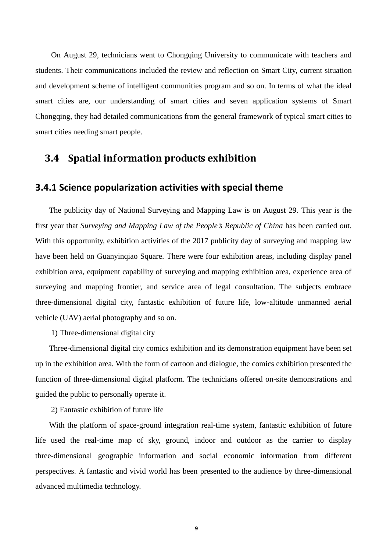On August 29, technicians went to Chongqing University to communicate with teachers and students. Their communications included the review and reflection on Smart City, current situation and development scheme of intelligent communities program and so on. In terms of what the ideal smart cities are, our understanding of smart cities and seven application systems of Smart Chongqing, they had detailed communications from the general framework of typical smart cities to smart cities needing smart people.

## <span id="page-9-0"></span>**3.4 Spatial information products exhibition**

#### <span id="page-9-1"></span>**3.4.1 Science popularization activities with special theme**

The publicity day of National Surveying and Mapping Law is on August 29. This year is the first year that *Surveying and Mapping Law of the People's Republic of China* has been carried out. With this opportunity, exhibition activities of the 2017 publicity day of surveying and mapping law have been held on Guanyinqiao Square. There were four exhibition areas, including display panel exhibition area, equipment capability of surveying and mapping exhibition area, experience area of surveying and mapping frontier, and service area of legal consultation. The subjects embrace three-dimensional digital city, fantastic exhibition of future life, low-altitude unmanned aerial vehicle (UAV) aerial photography and so on.

1) Three-dimensional digital city

Three-dimensional digital city comics exhibition and its demonstration equipment have been set up in the exhibition area. With the form of cartoon and dialogue, the comics exhibition presented the function of three-dimensional digital platform. The technicians offered on-site demonstrations and guided the public to personally operate it.

2) Fantastic exhibition of future life

With the platform of space-ground integration real-time system, fantastic exhibition of future life used the real-time map of sky, ground, indoor and outdoor as the carrier to display three-dimensional geographic information and social economic information from different perspectives. A fantastic and vivid world has been presented to the audience by three-dimensional advanced multimedia technology.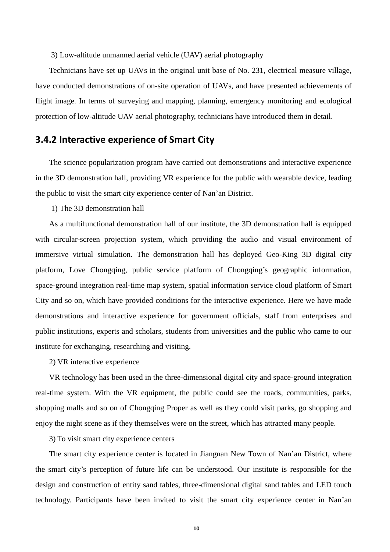3) Low-altitude unmanned aerial vehicle (UAV) aerial photography

Technicians have set up UAVs in the original unit base of No. 231, electrical measure village, have conducted demonstrations of on-site operation of UAVs, and have presented achievements of flight image. In terms of surveying and mapping, planning, emergency monitoring and ecological protection of low-altitude UAV aerial photography, technicians have introduced them in detail.

#### <span id="page-10-0"></span>**3.4.2 Interactive experience of Smart City**

The science popularization program have carried out demonstrations and interactive experience in the 3D demonstration hall, providing VR experience for the public with wearable device, leading the public to visit the smart city experience center of Nan'an District.

1) The 3D demonstration hall

As a multifunctional demonstration hall of our institute, the 3D demonstration hall is equipped with circular-screen projection system, which providing the audio and visual environment of immersive virtual simulation. The demonstration hall has deployed Geo-King 3D digital city platform, Love Chongqing, public service platform of Chongqing's geographic information, space-ground integration real-time map system, spatial information service cloud platform of Smart City and so on, which have provided conditions for the interactive experience. Here we have made demonstrations and interactive experience for government officials, staff from enterprises and public institutions, experts and scholars, students from universities and the public who came to our institute for exchanging, researching and visiting.

2) VR interactive experience

VR technology has been used in the three-dimensional digital city and space-ground integration real-time system. With the VR equipment, the public could see the roads, communities, parks, shopping malls and so on of Chongqing Proper as well as they could visit parks, go shopping and enjoy the night scene as if they themselves were on the street, which has attracted many people.

3) To visit smart city experience centers

The smart city experience center is located in Jiangnan New Town of Nan'an District, where the smart city's perception of future life can be understood. Our institute is responsible for the design and construction of entity sand tables, three-dimensional digital sand tables and LED touch technology. Participants have been invited to visit the smart city experience center in Nan'an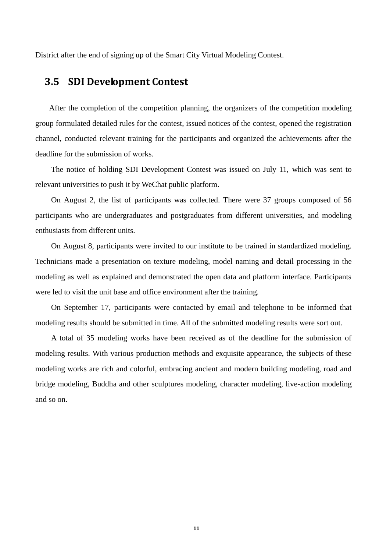District after the end of signing up of the Smart City Virtual Modeling Contest.

## <span id="page-11-0"></span>**3.5 SDI Development Contest**

After the completion of the competition planning, the organizers of the competition modeling group formulated detailed rules for the contest, issued notices of the contest, opened the registration channel, conducted relevant training for the participants and organized the achievements after the deadline for the submission of works.

The notice of holding SDI Development Contest was issued on July 11, which was sent to relevant universities to push it by WeChat public platform.

On August 2, the list of participants was collected. There were 37 groups composed of 56 participants who are undergraduates and postgraduates from different universities, and modeling enthusiasts from different units.

On August 8, participants were invited to our institute to be trained in standardized modeling. Technicians made a presentation on texture modeling, model naming and detail processing in the modeling as well as explained and demonstrated the open data and platform interface. Participants were led to visit the unit base and office environment after the training.

On September 17, participants were contacted by email and telephone to be informed that modeling results should be submitted in time. All of the submitted modeling results were sort out.

A total of 35 modeling works have been received as of the deadline for the submission of modeling results. With various production methods and exquisite appearance, the subjects of these modeling works are rich and colorful, embracing ancient and modern building modeling, road and bridge modeling, Buddha and other sculptures modeling, character modeling, live-action modeling and so on.